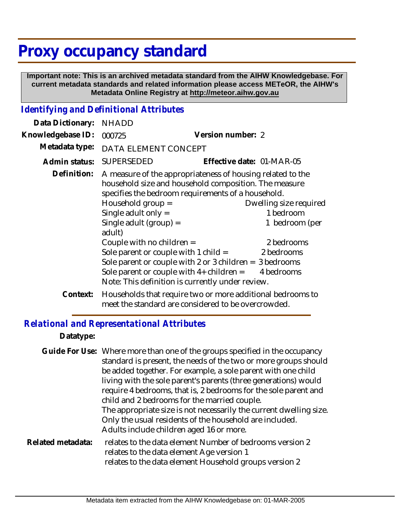# **Proxy occupancy standard**

 **Important note: This is an archived metadata standard from the AIHW Knowledgebase. For current metadata standards and related information please access METeOR, the AIHW's Metadata Online Registry at http://meteor.aihw.gov.au**

#### *Identifying and Definitional Attributes*

| Data Dictionary:  | <b>NHADD</b>                                                                                                                                                              |                           |                        |
|-------------------|---------------------------------------------------------------------------------------------------------------------------------------------------------------------------|---------------------------|------------------------|
| Knowledgebase ID: | 000725                                                                                                                                                                    | Version number: 2         |                        |
| Metadata type:    | DATA ELEMENT CONCEPT                                                                                                                                                      |                           |                        |
| Admin status:     | <b>SUPERSEDED</b>                                                                                                                                                         | Effective date: 01-MAR-05 |                        |
| Definition:       | A measure of the appropriateness of housing related to the<br>household size and household composition. The measure<br>specifies the bedroom requirements of a household. |                           |                        |
|                   | Household group =                                                                                                                                                         |                           | Dwelling size required |
|                   | Single adult only $=$                                                                                                                                                     |                           | 1 bedroom              |
|                   | Single adult ( $group$ ) =<br>adult)                                                                                                                                      |                           | 1 bedroom (per         |
|                   | Couple with no children =                                                                                                                                                 |                           | 2 bedrooms             |
|                   | Sole parent or couple with 1 child $=$                                                                                                                                    |                           | 2 bedrooms             |
|                   | Sole parent or couple with 2 or 3 children = $3$ bedrooms                                                                                                                 |                           |                        |
|                   | Sole parent or couple with $4+$ children =<br>4 bedrooms<br>Note: This definition is currently under review.                                                              |                           |                        |
| Context:          | Households that require two or more additional bedrooms to                                                                                                                |                           |                        |

### *Relational and Representational Attributes*

#### **Datatype:**

|                   | Guide For Use: Where more than one of the groups specified in the occupancy<br>standard is present, the needs of the two or more groups should<br>be added together. For example, a sole parent with one child<br>living with the sole parent's parents (three generations) would<br>require 4 bedrooms, that is, 2 bedrooms for the sole parent and<br>child and 2 bedrooms for the married couple.<br>The appropriate size is not necessarily the current dwelling size.<br>Only the usual residents of the household are included. |
|-------------------|---------------------------------------------------------------------------------------------------------------------------------------------------------------------------------------------------------------------------------------------------------------------------------------------------------------------------------------------------------------------------------------------------------------------------------------------------------------------------------------------------------------------------------------|
|                   | Adults include children aged 16 or more.                                                                                                                                                                                                                                                                                                                                                                                                                                                                                              |
| Related metadata: | relates to the data element Number of bedrooms version 2<br>relates to the data element Age version 1<br>relates to the data element Household groups version 2                                                                                                                                                                                                                                                                                                                                                                       |

meet the standard are considered to be overcrowded.